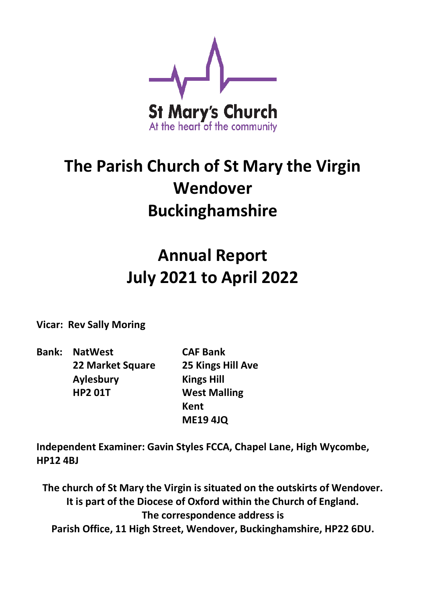

# **The Parish Church of St Mary the Virgin Wendover Buckinghamshire**

# **Annual Report July 2021 to April 2022**

**Vicar: Rev Sally Moring**

**Bank: NatWest CAF Bank 22 Market Square 25 Kings Hill Ave Aylesbury Kings Hill HP2 01T West Malling**

**Kent ME19 4JQ**

**Independent Examiner: Gavin Styles FCCA, Chapel Lane, High Wycombe, HP12 4BJ**

**The church of St Mary the Virgin is situated on the outskirts of Wendover. It is part of the Diocese of Oxford within the Church of England. The correspondence address is Parish Office, 11 High Street, Wendover, Buckinghamshire, HP22 6DU.**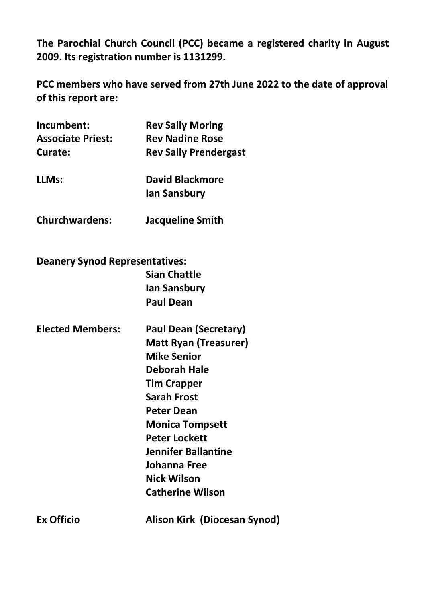**The Parochial Church Council (PCC) became a registered charity in August 2009. Its registration number is 1131299.**

**PCC members who have served from 27th June 2022 to the date of approval of this report are:**

**Churchwardens: Jacqueline Smith**

**Deanery Synod Representatives: Sian Chattle Ian Sansbury**

**Paul Dean**

**Elected Members: Paul Dean (Secretary) Matt Ryan (Treasurer) Mike Senior Deborah Hale Tim Crapper Sarah Frost Peter Dean Monica Tompsett Peter Lockett Jennifer Ballantine Johanna Free Nick Wilson Catherine Wilson**

**Ex Officio Alison Kirk (Diocesan Synod)**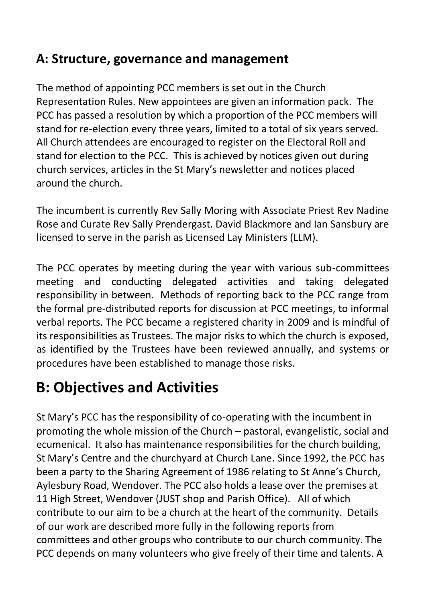### **A: Structure, governance and management**

The method of appointing PCC members is set out in the Church Representation Rules. New appointees are given an information pack. The PCC has passed a resolution by which a proportion of the PCC members will stand for re-election every three years, limited to a total of six years served. All Church attendees are encouraged to register on the Electoral Roll and stand for election to the PCC. This is achieved by notices given out during church services, articles in the St Mary's newsletter and notices placed around the church.

The incumbent is currently Rev Sally Moring with Associate Priest Rev Nadine Rose and Curate Rev Sally Prendergast. David Blackmore and Ian Sansbury are licensed to serve in the parish as Licensed Lay Ministers (LLM).

The PCC operates by meeting during the year with various sub-committees meeting and conducting delegated activities and taking delegated responsibility in between. Methods of reporting back to the PCC range from the formal pre-distributed reports for discussion at PCC meetings, to informal verbal reports. The PCC became a registered charity in 2009 and is mindful of its responsibilities as Trustees. The major risks to which the church is exposed, as identified by the Trustees have been reviewed annually, and systems or procedures have been established to manage those risks.

### **B: Objectives and Activities**

St Mary's PCC has the responsibility of co-operating with the incumbent in promoting the whole mission of the Church – pastoral, evangelistic, social and ecumenical. It also has maintenance responsibilities for the church building, St Mary's Centre and the churchyard at Church Lane. Since 1992, the PCC has been a party to the Sharing Agreement of 1986 relating to St Anne's Church, Aylesbury Road, Wendover. The PCC also holds a lease over the premises at 11 High Street, Wendover (JUST shop and Parish Office). All of which contribute to our aim to be a church at the heart of the community. Details of our work are described more fully in the following reports from committees and other groups who contribute to our church community. The PCC depends on many volunteers who give freely of their time and talents. A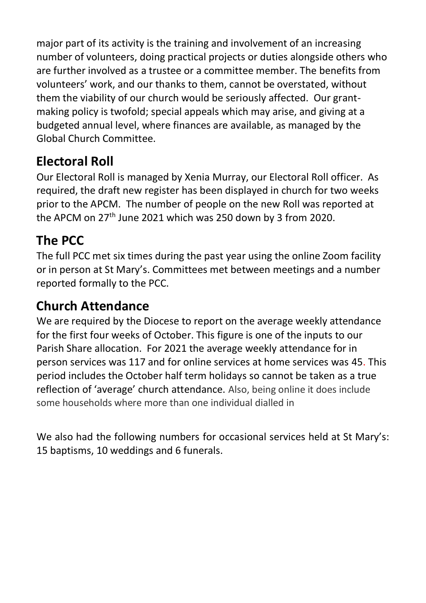major part of its activity is the training and involvement of an increasing number of volunteers, doing practical projects or duties alongside others who are further involved as a trustee or a committee member. The benefits from volunteers' work, and our thanks to them, cannot be overstated, without them the viability of our church would be seriously affected. Our grantmaking policy is twofold; special appeals which may arise, and giving at a budgeted annual level, where finances are available, as managed by the Global Church Committee.

### **Electoral Roll**

Our Electoral Roll is managed by Xenia Murray, our Electoral Roll officer. As required, the draft new register has been displayed in church for two weeks prior to the APCM. The number of people on the new Roll was reported at the APCM on 27<sup>th</sup> June 2021 which was 250 down by 3 from 2020.

### **The PCC**

The full PCC met six times during the past year using the online Zoom facility or in person at St Mary's. Committees met between meetings and a number reported formally to the PCC.

### **Church Attendance**

We are required by the Diocese to report on the average weekly attendance for the first four weeks of October. This figure is one of the inputs to our Parish Share allocation. For 2021 the average weekly attendance for in person services was 117 and for online services at home services was 45. This period includes the October half term holidays so cannot be taken as a true reflection of 'average' church attendance. Also, being online it does include some households where more than one individual dialled in

We also had the following numbers for occasional services held at St Mary's: 15 baptisms, 10 weddings and 6 funerals.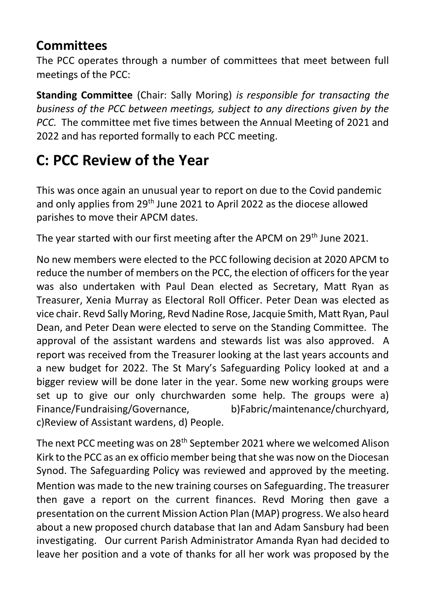### **Committees**

The PCC operates through a number of committees that meet between full meetings of the PCC:

**Standing Committee** (Chair: Sally Moring) *is responsible for transacting the business of the PCC between meetings, subject to any directions given by the PCC.* The committee met five times between the Annual Meeting of 2021 and 2022 and has reported formally to each PCC meeting.

## **C: PCC Review of the Year**

This was once again an unusual year to report on due to the Covid pandemic and only applies from 29th June 2021 to April 2022 as the diocese allowed parishes to move their APCM dates.

The year started with our first meeting after the APCM on 29<sup>th</sup> June 2021.

No new members were elected to the PCC following decision at 2020 APCM to reduce the number of members on the PCC, the election of officers for the year was also undertaken with Paul Dean elected as Secretary, Matt Ryan as Treasurer, Xenia Murray as Electoral Roll Officer. Peter Dean was elected as vice chair. Revd Sally Moring, Revd Nadine Rose, Jacquie Smith, Matt Ryan, Paul Dean, and Peter Dean were elected to serve on the Standing Committee. The approval of the assistant wardens and stewards list was also approved. A report was received from the Treasurer looking at the last years accounts and a new budget for 2022. The St Mary's Safeguarding Policy looked at and a bigger review will be done later in the year. Some new working groups were set up to give our only churchwarden some help. The groups were a) Finance/Fundraising/Governance, b)Fabric/maintenance/churchyard, c)Review of Assistant wardens, d) People.

The next PCC meeting was on 28<sup>th</sup> September 2021 where we welcomed Alison Kirk to the PCC as an ex officio member being that she was now on the Diocesan Synod. The Safeguarding Policy was reviewed and approved by the meeting. Mention was made to the new training courses on Safeguarding. The treasurer then gave a report on the current finances. Revd Moring then gave a presentation on the current Mission Action Plan (MAP) progress. We also heard about a new proposed church database that Ian and Adam Sansbury had been investigating. Our current Parish Administrator Amanda Ryan had decided to leave her position and a vote of thanks for all her work was proposed by the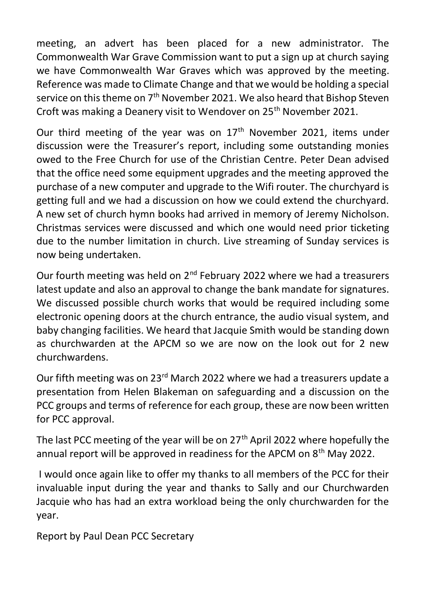meeting, an advert has been placed for a new administrator. The Commonwealth War Grave Commission want to put a sign up at church saying we have Commonwealth War Graves which was approved by the meeting. Reference was made to Climate Change and that we would be holding a special service on this theme on 7<sup>th</sup> November 2021. We also heard that Bishop Steven Croft was making a Deanery visit to Wendover on 25<sup>th</sup> November 2021.

Our third meeting of the year was on  $17<sup>th</sup>$  November 2021, items under discussion were the Treasurer's report, including some outstanding monies owed to the Free Church for use of the Christian Centre. Peter Dean advised that the office need some equipment upgrades and the meeting approved the purchase of a new computer and upgrade to the Wifi router. The churchyard is getting full and we had a discussion on how we could extend the churchyard. A new set of church hymn books had arrived in memory of Jeremy Nicholson. Christmas services were discussed and which one would need prior ticketing due to the number limitation in church. Live streaming of Sunday services is now being undertaken.

Our fourth meeting was held on  $2^{nd}$  February 2022 where we had a treasurers latest update and also an approval to change the bank mandate for signatures. We discussed possible church works that would be required including some electronic opening doors at the church entrance, the audio visual system, and baby changing facilities. We heard that Jacquie Smith would be standing down as churchwarden at the APCM so we are now on the look out for 2 new churchwardens.

Our fifth meeting was on 23rd March 2022 where we had a treasurers update a presentation from Helen Blakeman on safeguarding and a discussion on the PCC groups and terms of reference for each group, these are now been written for PCC approval.

The last PCC meeting of the year will be on  $27<sup>th</sup>$  April 2022 where hopefully the annual report will be approved in readiness for the APCM on 8<sup>th</sup> May 2022.

I would once again like to offer my thanks to all members of the PCC for their invaluable input during the year and thanks to Sally and our Churchwarden Jacquie who has had an extra workload being the only churchwarden for the year.

Report by Paul Dean PCC Secretary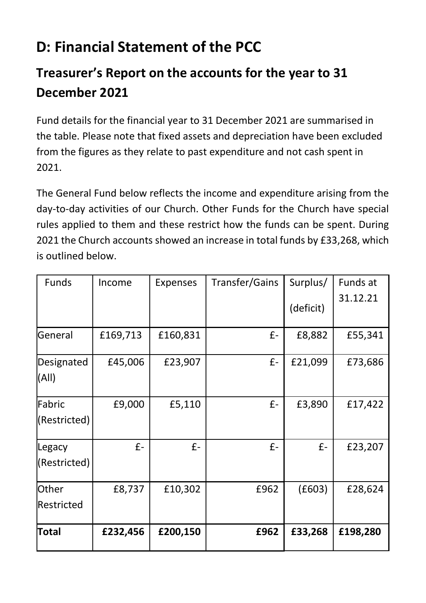## **D: Financial Statement of the PCC**

### **Treasurer's Report on the accounts for the year to 31 December 2021**

Fund details for the financial year to 31 December 2021 are summarised in the table. Please note that fixed assets and depreciation have been excluded from the figures as they relate to past expenditure and not cash spent in 2021.

The General Fund below reflects the income and expenditure arising from the day-to-day activities of our Church. Other Funds for the Church have special rules applied to them and these restrict how the funds can be spent. During 2021 the Church accounts showed an increase in total funds by £33,268, which is outlined below.

| Funds                      | Income   | Expenses | Transfer/Gains | Surplus/  | Funds at |
|----------------------------|----------|----------|----------------|-----------|----------|
|                            |          |          |                | (deficit) | 31.12.21 |
| General                    | £169,713 | £160,831 | £-             | £8,882    | £55,341  |
| Designated<br>(All)        | £45,006  | £23,907  | £-             | £21,099   | £73,686  |
| Fabric<br>(Restricted)     | £9,000   | £5,110   | £-             | £3,890    | £17,422  |
| Legacy<br>(Restricted)     | £-       | $f -$    | £-             | £-        | £23,207  |
| <b>Other</b><br>Restricted | £8,737   | £10,302  | £962           | (E603)    | £28,624  |
| <b>Total</b>               | £232,456 | £200,150 | £962           | £33,268   | £198,280 |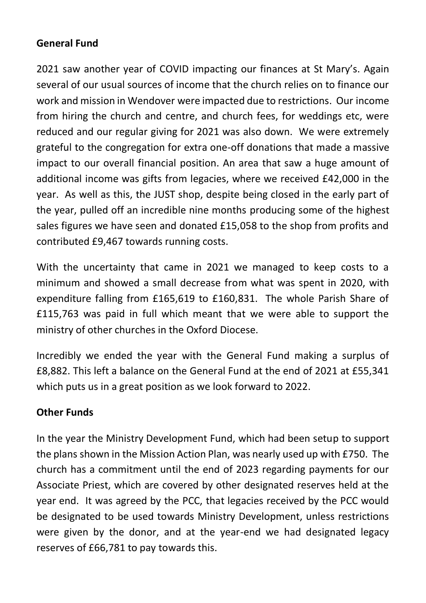#### **General Fund**

2021 saw another year of COVID impacting our finances at St Mary's. Again several of our usual sources of income that the church relies on to finance our work and mission in Wendover were impacted due to restrictions. Our income from hiring the church and centre, and church fees, for weddings etc, were reduced and our regular giving for 2021 was also down. We were extremely grateful to the congregation for extra one-off donations that made a massive impact to our overall financial position. An area that saw a huge amount of additional income was gifts from legacies, where we received £42,000 in the year. As well as this, the JUST shop, despite being closed in the early part of the year, pulled off an incredible nine months producing some of the highest sales figures we have seen and donated £15,058 to the shop from profits and contributed £9,467 towards running costs.

With the uncertainty that came in 2021 we managed to keep costs to a minimum and showed a small decrease from what was spent in 2020, with expenditure falling from £165,619 to £160,831. The whole Parish Share of £115,763 was paid in full which meant that we were able to support the ministry of other churches in the Oxford Diocese.

Incredibly we ended the year with the General Fund making a surplus of £8,882. This left a balance on the General Fund at the end of 2021 at £55,341 which puts us in a great position as we look forward to 2022.

#### **Other Funds**

In the year the Ministry Development Fund, which had been setup to support the plans shown in the Mission Action Plan, was nearly used up with £750. The church has a commitment until the end of 2023 regarding payments for our Associate Priest, which are covered by other designated reserves held at the year end. It was agreed by the PCC, that legacies received by the PCC would be designated to be used towards Ministry Development, unless restrictions were given by the donor, and at the year-end we had designated legacy reserves of £66,781 to pay towards this.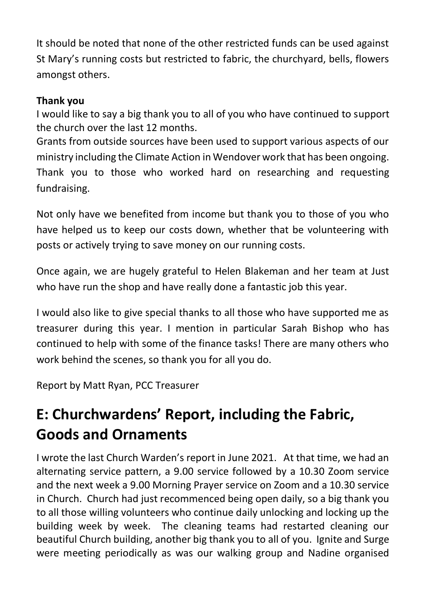It should be noted that none of the other restricted funds can be used against St Mary's running costs but restricted to fabric, the churchyard, bells, flowers amongst others.

#### **Thank you**

I would like to say a big thank you to all of you who have continued to support the church over the last 12 months.

Grants from outside sources have been used to support various aspects of our ministry including the Climate Action in Wendover work that has been ongoing. Thank you to those who worked hard on researching and requesting fundraising.

Not only have we benefited from income but thank you to those of you who have helped us to keep our costs down, whether that be volunteering with posts or actively trying to save money on our running costs.

Once again, we are hugely grateful to Helen Blakeman and her team at Just who have run the shop and have really done a fantastic job this year.

I would also like to give special thanks to all those who have supported me as treasurer during this year. I mention in particular Sarah Bishop who has continued to help with some of the finance tasks! There are many others who work behind the scenes, so thank you for all you do.

Report by Matt Ryan, PCC Treasurer

## **E: Churchwardens' Report, including the Fabric, Goods and Ornaments**

I wrote the last Church Warden's report in June 2021. At that time, we had an alternating service pattern, a 9.00 service followed by a 10.30 Zoom service and the next week a 9.00 Morning Prayer service on Zoom and a 10.30 service in Church. Church had just recommenced being open daily, so a big thank you to all those willing volunteers who continue daily unlocking and locking up the building week by week. The cleaning teams had restarted cleaning our beautiful Church building, another big thank you to all of you. Ignite and Surge were meeting periodically as was our walking group and Nadine organised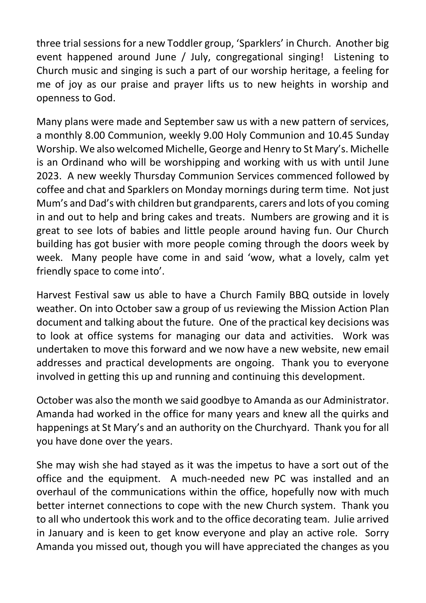three trial sessions for a new Toddler group, 'Sparklers' in Church. Another big event happened around June / July, congregational singing! Listening to Church music and singing is such a part of our worship heritage, a feeling for me of joy as our praise and prayer lifts us to new heights in worship and openness to God.

Many plans were made and September saw us with a new pattern of services, a monthly 8.00 Communion, weekly 9.00 Holy Communion and 10.45 Sunday Worship. We also welcomed Michelle, George and Henry to St Mary's. Michelle is an Ordinand who will be worshipping and working with us with until June 2023. A new weekly Thursday Communion Services commenced followed by coffee and chat and Sparklers on Monday mornings during term time. Not just Mum's and Dad's with children but grandparents, carers and lots of you coming in and out to help and bring cakes and treats. Numbers are growing and it is great to see lots of babies and little people around having fun. Our Church building has got busier with more people coming through the doors week by week. Many people have come in and said 'wow, what a lovely, calm yet friendly space to come into'.

Harvest Festival saw us able to have a Church Family BBQ outside in lovely weather. On into October saw a group of us reviewing the Mission Action Plan document and talking about the future. One of the practical key decisions was to look at office systems for managing our data and activities. Work was undertaken to move this forward and we now have a new website, new email addresses and practical developments are ongoing. Thank you to everyone involved in getting this up and running and continuing this development.

October was also the month we said goodbye to Amanda as our Administrator. Amanda had worked in the office for many years and knew all the quirks and happenings at St Mary's and an authority on the Churchyard. Thank you for all you have done over the years.

She may wish she had stayed as it was the impetus to have a sort out of the office and the equipment. A much-needed new PC was installed and an overhaul of the communications within the office, hopefully now with much better internet connections to cope with the new Church system. Thank you to all who undertook this work and to the office decorating team. Julie arrived in January and is keen to get know everyone and play an active role. Sorry Amanda you missed out, though you will have appreciated the changes as you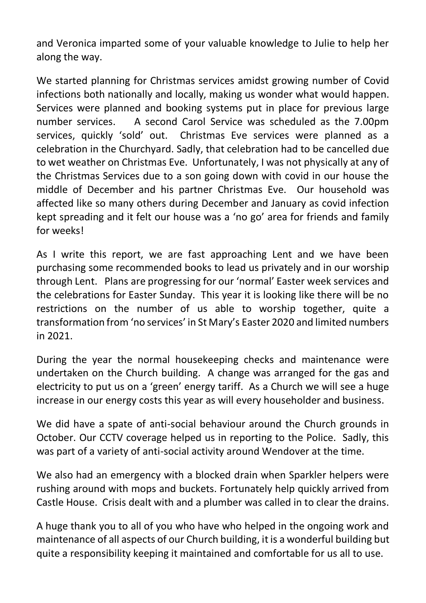and Veronica imparted some of your valuable knowledge to Julie to help her along the way.

We started planning for Christmas services amidst growing number of Covid infections both nationally and locally, making us wonder what would happen. Services were planned and booking systems put in place for previous large number services. A second Carol Service was scheduled as the 7.00pm services, quickly 'sold' out. Christmas Eve services were planned as a celebration in the Churchyard. Sadly, that celebration had to be cancelled due to wet weather on Christmas Eve. Unfortunately, I was not physically at any of the Christmas Services due to a son going down with covid in our house the middle of December and his partner Christmas Eve. Our household was affected like so many others during December and January as covid infection kept spreading and it felt our house was a 'no go' area for friends and family for weeks!

As I write this report, we are fast approaching Lent and we have been purchasing some recommended books to lead us privately and in our worship through Lent. Plans are progressing for our 'normal' Easter week services and the celebrations for Easter Sunday. This year it is looking like there will be no restrictions on the number of us able to worship together, quite a transformation from 'no services' in St Mary's Easter 2020 and limited numbers in 2021.

During the year the normal housekeeping checks and maintenance were undertaken on the Church building. A change was arranged for the gas and electricity to put us on a 'green' energy tariff. As a Church we will see a huge increase in our energy costs this year as will every householder and business.

We did have a spate of anti-social behaviour around the Church grounds in October. Our CCTV coverage helped us in reporting to the Police. Sadly, this was part of a variety of anti-social activity around Wendover at the time.

We also had an emergency with a blocked drain when Sparkler helpers were rushing around with mops and buckets. Fortunately help quickly arrived from Castle House. Crisis dealt with and a plumber was called in to clear the drains.

A huge thank you to all of you who have who helped in the ongoing work and maintenance of all aspects of our Church building, it is a wonderful building but quite a responsibility keeping it maintained and comfortable for us all to use.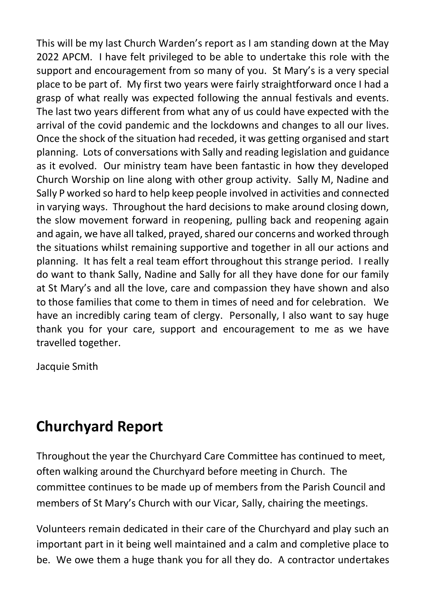This will be my last Church Warden's report as I am standing down at the May 2022 APCM. I have felt privileged to be able to undertake this role with the support and encouragement from so many of you. St Mary's is a very special place to be part of. My first two years were fairly straightforward once I had a grasp of what really was expected following the annual festivals and events. The last two years different from what any of us could have expected with the arrival of the covid pandemic and the lockdowns and changes to all our lives. Once the shock of the situation had receded, it was getting organised and start planning. Lots of conversations with Sally and reading legislation and guidance as it evolved. Our ministry team have been fantastic in how they developed Church Worship on line along with other group activity. Sally M, Nadine and Sally P worked so hard to help keep people involved in activities and connected in varying ways. Throughout the hard decisions to make around closing down, the slow movement forward in reopening, pulling back and reopening again and again, we have all talked, prayed, shared our concerns and worked through the situations whilst remaining supportive and together in all our actions and planning. It has felt a real team effort throughout this strange period. I really do want to thank Sally, Nadine and Sally for all they have done for our family at St Mary's and all the love, care and compassion they have shown and also to those families that come to them in times of need and for celebration. We have an incredibly caring team of clergy. Personally, I also want to say huge thank you for your care, support and encouragement to me as we have travelled together.

Jacquie Smith

### **Churchyard Report**

Throughout the year the Churchyard Care Committee has continued to meet, often walking around the Churchyard before meeting in Church. The committee continues to be made up of members from the Parish Council and members of St Mary's Church with our Vicar, Sally, chairing the meetings.

Volunteers remain dedicated in their care of the Churchyard and play such an important part in it being well maintained and a calm and completive place to be. We owe them a huge thank you for all they do. A contractor undertakes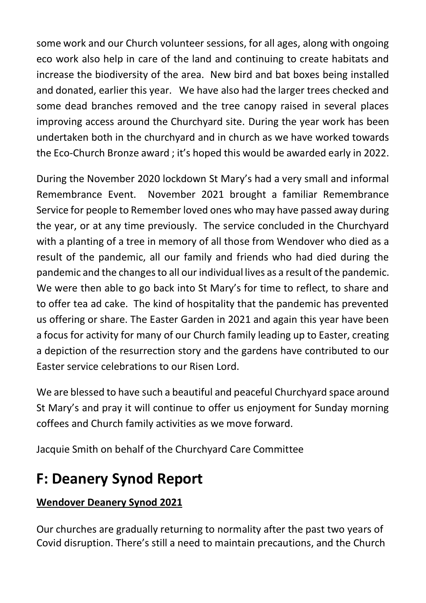some work and our Church volunteer sessions, for all ages, along with ongoing eco work also help in care of the land and continuing to create habitats and increase the biodiversity of the area. New bird and bat boxes being installed and donated, earlier this year. We have also had the larger trees checked and some dead branches removed and the tree canopy raised in several places improving access around the Churchyard site. During the year work has been undertaken both in the churchyard and in church as we have worked towards the Eco-Church Bronze award ; it's hoped this would be awarded early in 2022.

During the November 2020 lockdown St Mary's had a very small and informal Remembrance Event. November 2021 brought a familiar Remembrance Service for people to Remember loved ones who may have passed away during the year, or at any time previously. The service concluded in the Churchyard with a planting of a tree in memory of all those from Wendover who died as a result of the pandemic, all our family and friends who had died during the pandemic and the changes to all our individual lives as a result of the pandemic. We were then able to go back into St Mary's for time to reflect, to share and to offer tea ad cake. The kind of hospitality that the pandemic has prevented us offering or share. The Easter Garden in 2021 and again this year have been a focus for activity for many of our Church family leading up to Easter, creating a depiction of the resurrection story and the gardens have contributed to our Easter service celebrations to our Risen Lord.

We are blessed to have such a beautiful and peaceful Churchyard space around St Mary's and pray it will continue to offer us enjoyment for Sunday morning coffees and Church family activities as we move forward.

Jacquie Smith on behalf of the Churchyard Care Committee

## **F: Deanery Synod Report**

#### **Wendover Deanery Synod 2021**

Our churches are gradually returning to normality after the past two years of Covid disruption. There's still a need to maintain precautions, and the Church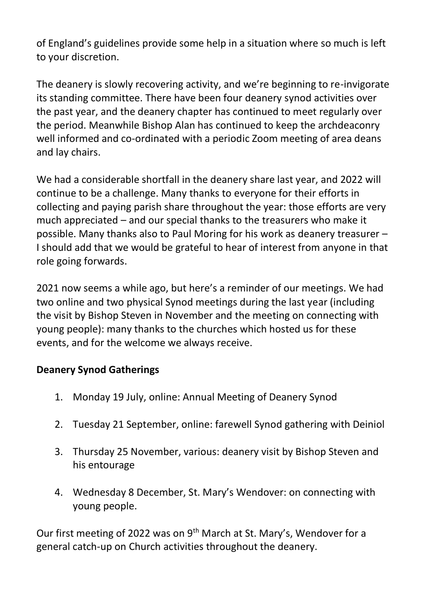of England's guidelines provide some help in a situation where so much is left to your discretion.

The deanery is slowly recovering activity, and we're beginning to re-invigorate its standing committee. There have been four deanery synod activities over the past year, and the deanery chapter has continued to meet regularly over the period. Meanwhile Bishop Alan has continued to keep the archdeaconry well informed and co-ordinated with a periodic Zoom meeting of area deans and lay chairs.

We had a considerable shortfall in the deanery share last year, and 2022 will continue to be a challenge. Many thanks to everyone for their efforts in collecting and paying parish share throughout the year: those efforts are very much appreciated – and our special thanks to the treasurers who make it possible. Many thanks also to Paul Moring for his work as deanery treasurer – I should add that we would be grateful to hear of interest from anyone in that role going forwards.

2021 now seems a while ago, but here's a reminder of our meetings. We had two online and two physical Synod meetings during the last year (including the visit by Bishop Steven in November and the meeting on connecting with young people): many thanks to the churches which hosted us for these events, and for the welcome we always receive.

#### **Deanery Synod Gatherings**

- 1. Monday 19 July, online: Annual Meeting of Deanery Synod
- 2. Tuesday 21 September, online: farewell Synod gathering with Deiniol
- 3. Thursday 25 November, various: deanery visit by Bishop Steven and his entourage
- 4. Wednesday 8 December, St. Mary's Wendover: on connecting with young people.

Our first meeting of 2022 was on 9<sup>th</sup> March at St. Mary's, Wendover for a general catch-up on Church activities throughout the deanery.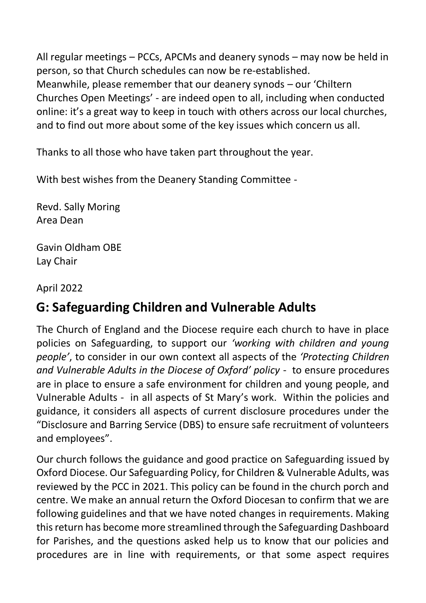All regular meetings – PCCs, APCMs and deanery synods – may now be held in person, so that Church schedules can now be re-established. Meanwhile, please remember that our deanery synods – our 'Chiltern Churches Open Meetings' - are indeed open to all, including when conducted online: it's a great way to keep in touch with others across our local churches, and to find out more about some of the key issues which concern us all.

Thanks to all those who have taken part throughout the year.

With best wishes from the Deanery Standing Committee -

Revd. Sally Moring Area Dean

Gavin Oldham OBE Lay Chair

April 2022

### **G: Safeguarding Children and Vulnerable Adults**

The Church of England and the Diocese require each church to have in place policies on Safeguarding, to support our *'working with children and young people'*, to consider in our own context all aspects of the *'Protecting Children and Vulnerable Adults in the Diocese of Oxford' policy* - to ensure procedures are in place to ensure a safe environment for children and young people, and Vulnerable Adults - in all aspects of St Mary's work. Within the policies and guidance, it considers all aspects of current disclosure procedures under the "Disclosure and Barring Service (DBS) to ensure safe recruitment of volunteers and employees".

Our church follows the guidance and good practice on Safeguarding issued by Oxford Diocese. Our Safeguarding Policy, for Children & Vulnerable Adults, was reviewed by the PCC in 2021. This policy can be found in the church porch and centre. We make an annual return the Oxford Diocesan to confirm that we are following guidelines and that we have noted changes in requirements. Making this return has become more streamlined through the Safeguarding Dashboard for Parishes, and the questions asked help us to know that our policies and procedures are in line with requirements, or that some aspect requires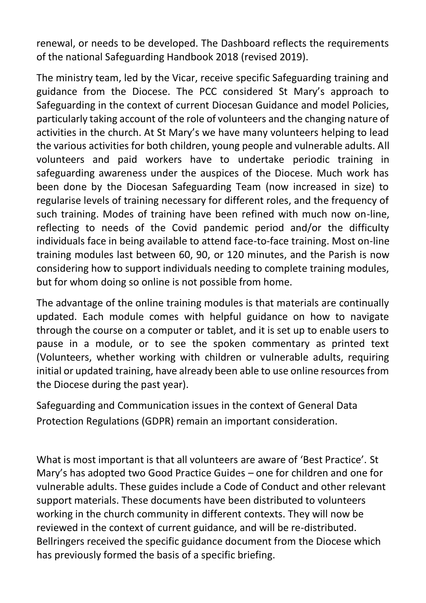renewal, or needs to be developed. The Dashboard reflects the requirements of the national Safeguarding Handbook 2018 (revised 2019).

The ministry team, led by the Vicar, receive specific Safeguarding training and guidance from the Diocese. The PCC considered St Mary's approach to Safeguarding in the context of current Diocesan Guidance and model Policies, particularly taking account of the role of volunteers and the changing nature of activities in the church. At St Mary's we have many volunteers helping to lead the various activities for both children, young people and vulnerable adults. All volunteers and paid workers have to undertake periodic training in safeguarding awareness under the auspices of the Diocese. Much work has been done by the Diocesan Safeguarding Team (now increased in size) to regularise levels of training necessary for different roles, and the frequency of such training. Modes of training have been refined with much now on-line, reflecting to needs of the Covid pandemic period and/or the difficulty individuals face in being available to attend face-to-face training. Most on-line training modules last between 60, 90, or 120 minutes, and the Parish is now considering how to support individuals needing to complete training modules, but for whom doing so online is not possible from home.

The advantage of the online training modules is that materials are continually updated. Each module comes with helpful guidance on how to navigate through the course on a computer or tablet, and it is set up to enable users to pause in a module, or to see the spoken commentary as printed text (Volunteers, whether working with children or vulnerable adults, requiring initial or updated training, have already been able to use online resources from the Diocese during the past year).

Safeguarding and Communication issues in the context of General Data Protection Regulations (GDPR) remain an important consideration.

What is most important is that all volunteers are aware of 'Best Practice'. St Mary's has adopted two Good Practice Guides – one for children and one for vulnerable adults. These guides include a Code of Conduct and other relevant support materials. These documents have been distributed to volunteers working in the church community in different contexts. They will now be reviewed in the context of current guidance, and will be re-distributed. Bellringers received the specific guidance document from the Diocese which has previously formed the basis of a specific briefing.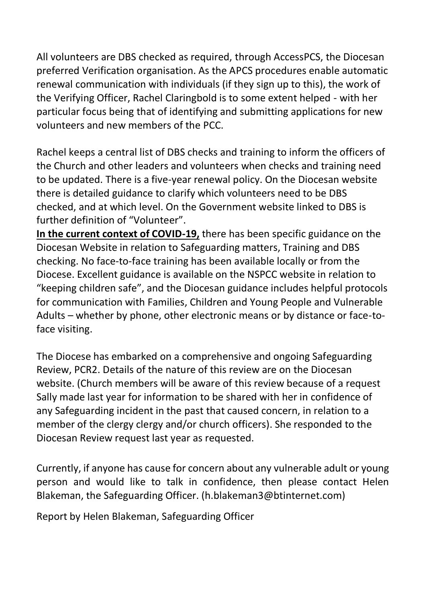All volunteers are DBS checked as required, through AccessPCS, the Diocesan preferred Verification organisation. As the APCS procedures enable automatic renewal communication with individuals (if they sign up to this), the work of the Verifying Officer, Rachel Claringbold is to some extent helped - with her particular focus being that of identifying and submitting applications for new volunteers and new members of the PCC.

Rachel keeps a central list of DBS checks and training to inform the officers of the Church and other leaders and volunteers when checks and training need to be updated. There is a five-year renewal policy. On the Diocesan website there is detailed guidance to clarify which volunteers need to be DBS checked, and at which level. On the Government website linked to DBS is further definition of "Volunteer".

**In the current context of COVID-19,** there has been specific guidance on the Diocesan Website in relation to Safeguarding matters, Training and DBS checking. No face-to-face training has been available locally or from the Diocese. Excellent guidance is available on the NSPCC website in relation to "keeping children safe", and the Diocesan guidance includes helpful protocols for communication with Families, Children and Young People and Vulnerable Adults – whether by phone, other electronic means or by distance or face-toface visiting.

The Diocese has embarked on a comprehensive and ongoing Safeguarding Review, PCR2. Details of the nature of this review are on the Diocesan website. (Church members will be aware of this review because of a request Sally made last year for information to be shared with her in confidence of any Safeguarding incident in the past that caused concern, in relation to a member of the clergy clergy and/or church officers). She responded to the Diocesan Review request last year as requested.

Currently, if anyone has cause for concern about any vulnerable adult or young person and would like to talk in confidence, then please contact Helen Blakeman, the Safeguarding Officer. (h.blakeman3@btinternet.com)

Report by Helen Blakeman, Safeguarding Officer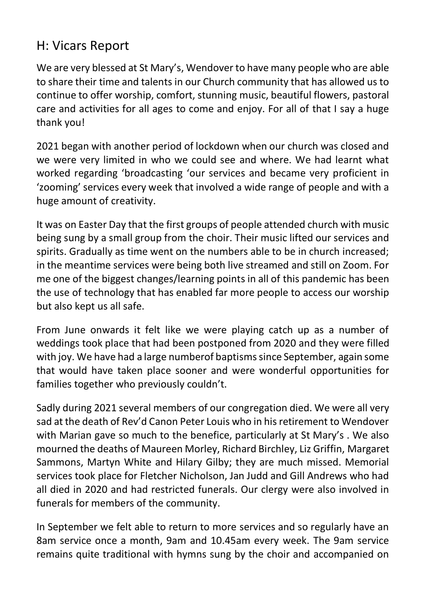### H: Vicars Report

We are very blessed at St Mary's, Wendover to have many people who are able to share their time and talents in our Church community that has allowed us to continue to offer worship, comfort, stunning music, beautiful flowers, pastoral care and activities for all ages to come and enjoy. For all of that I say a huge thank you!

2021 began with another period of lockdown when our church was closed and we were very limited in who we could see and where. We had learnt what worked regarding 'broadcasting 'our services and became very proficient in 'zooming' services every week that involved a wide range of people and with a huge amount of creativity.

It was on Easter Day that the first groups of people attended church with music being sung by a small group from the choir. Their music lifted our services and spirits. Gradually as time went on the numbers able to be in church increased; in the meantime services were being both live streamed and still on Zoom. For me one of the biggest changes/learning points in all of this pandemic has been the use of technology that has enabled far more people to access our worship but also kept us all safe.

From June onwards it felt like we were playing catch up as a number of weddings took place that had been postponed from 2020 and they were filled with joy. We have had a large numberof baptisms since September, again some that would have taken place sooner and were wonderful opportunities for families together who previously couldn't.

Sadly during 2021 several members of our congregation died. We were all very sad at the death of Rev'd Canon Peter Louis who in his retirement to Wendover with Marian gave so much to the benefice, particularly at St Mary's . We also mourned the deaths of Maureen Morley, Richard Birchley, Liz Griffin, Margaret Sammons, Martyn White and Hilary Gilby; they are much missed. Memorial services took place for Fletcher Nicholson, Jan Judd and Gill Andrews who had all died in 2020 and had restricted funerals. Our clergy were also involved in funerals for members of the community.

In September we felt able to return to more services and so regularly have an 8am service once a month, 9am and 10.45am every week. The 9am service remains quite traditional with hymns sung by the choir and accompanied on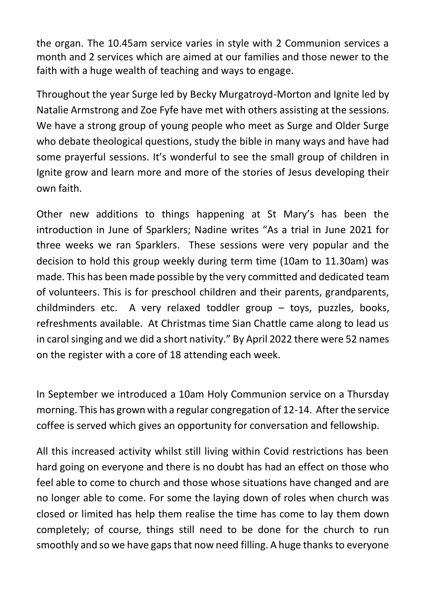the organ. The 10.45am service varies in style with 2 Communion services a month and 2 services which are aimed at our families and those newer to the faith with a huge wealth of teaching and ways to engage.

Throughout the year Surge led by Becky Murgatroyd-Morton and Ignite led by Natalie Armstrong and Zoe Fyfe have met with others assisting at the sessions. We have a strong group of young people who meet as Surge and Older Surge who debate theological questions, study the bible in many ways and have had some prayerful sessions. It's wonderful to see the small group of children in Ignite grow and learn more and more of the stories of Jesus developing their own faith.

Other new additions to things happening at St Mary's has been the introduction in June of Sparklers; Nadine writes "As a trial in June 2021 for three weeks we ran Sparklers. These sessions were very popular and the decision to hold this group weekly during term time (10am to 11.30am) was made. This has been made possible by the very committed and dedicated team of volunteers. This is for preschool children and their parents, grandparents, childminders etc. A very relaxed toddler group – toys, puzzles, books, refreshments available. At Christmas time Sian Chattle came along to lead us in carol singing and we did a short nativity." By April 2022 there were 52 names on the register with a core of 18 attending each week.

In September we introduced a 10am Holy Communion service on a Thursday morning. This has grown with a regular congregation of 12-14. After the service coffee is served which gives an opportunity for conversation and fellowship.

All this increased activity whilst still living within Covid restrictions has been hard going on everyone and there is no doubt has had an effect on those who feel able to come to church and those whose situations have changed and are no longer able to come. For some the laying down of roles when church was closed or limited has help them realise the time has come to lay them down completely; of course, things still need to be done for the church to run smoothly and so we have gaps that now need filling. A huge thanks to everyone